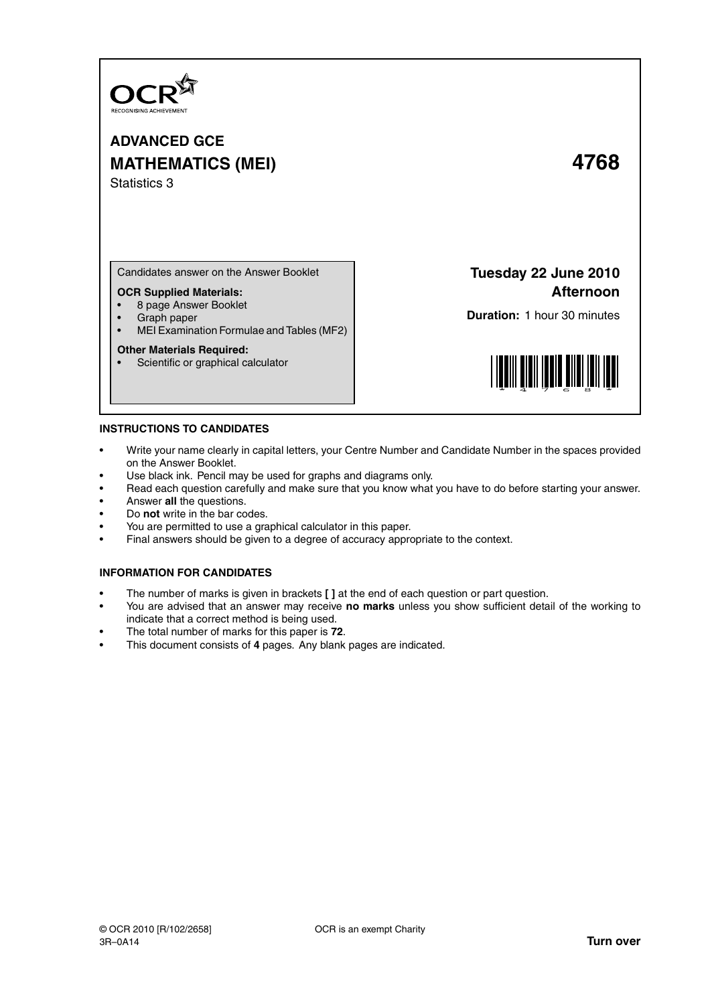

**ADVANCED GCE MATHEMATICS (MEI) 4768** Statistics 3

Candidates answer on the Answer Booklet

# **OCR Supplied Materials:**

- 8 page Answer Booklet
- Graph paper<br>• MELExamina
- MEI Examination Formulae and Tables (MF2)

### **Other Materials Required:**

• Scientific or graphical calculator

**Tuesday 22 June 2010 Afternoon**

**Duration:** 1 hour 30 minutes



## **INSTRUCTIONS TO CANDIDATES**

- Write your name clearly in capital letters, your Centre Number and Candidate Number in the spaces provided on the Answer Booklet.
- Use black ink. Pencil may be used for graphs and diagrams only.
- Read each question carefully and make sure that you know what you have to do before starting your answer.
- Answer **all** the questions.
- Do **not** write in the bar codes.
- You are permitted to use a graphical calculator in this paper.
- Final answers should be given to a degree of accuracy appropriate to the context.

# **INFORMATION FOR CANDIDATES**

- The number of marks is given in brackets **[ ]** at the end of each question or part question.
- You are advised that an answer may receive **no marks** unless you show sufficient detail of the working to indicate that a correct method is being used.
- The total number of marks for this paper is **72**.
- This document consists of **4** pages. Any blank pages are indicated.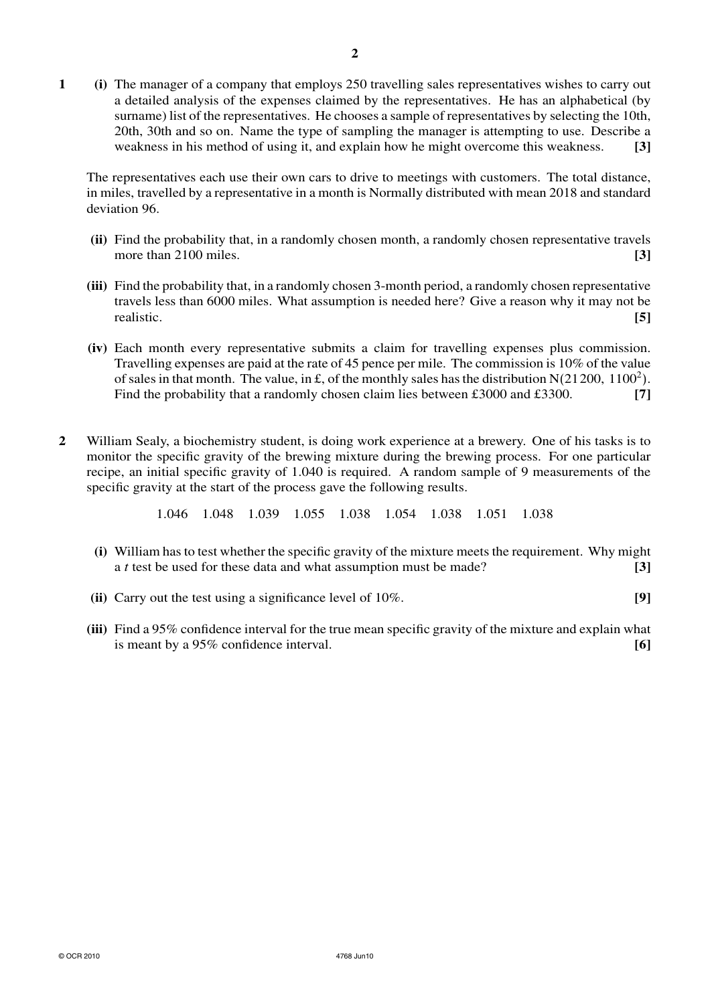**1 (i)** The manager of a company that employs 250 travelling sales representatives wishes to carry out a detailed analysis of the expenses claimed by the representatives. He has an alphabetical (by surname) list of the representatives. He chooses a sample of representatives by selecting the 10th, 20th, 30th and so on. Name the type of sampling the manager is attempting to use. Describe a weakness in his method of using it, and explain how he might overcome this weakness. **[3]**

The representatives each use their own cars to drive to meetings with customers. The total distance, in miles, travelled by a representative in a month is Normally distributed with mean 2018 and standard deviation 96.

- **(ii)** Find the probability that, in a randomly chosen month, a randomly chosen representative travels more than 2100 miles. **[3] [3]**
- **(iii)** Find the probability that, in a randomly chosen 3-month period, a randomly chosen representative travels less than 6000 miles. What assumption is needed here? Give a reason why it may not be realistic. **[5]**
- **(iv)** Each month every representative submits a claim for travelling expenses plus commission. Travelling expenses are paid at the rate of 45 pence per mile. The commission is 10% of the value of sales in that month. The value, in £, of the monthly sales has the distribution  $N(21200, 1100^2)$ . Find the probability that a randomly chosen claim lies between £3000 and £3300. **[7]**
- **2** William Sealy, a biochemistry student, is doing work experience at a brewery. One of his tasks is to monitor the specific gravity of the brewing mixture during the brewing process. For one particular recipe, an initial specific gravity of 1.040 is required. A random sample of 9 measurements of the specific gravity at the start of the process gave the following results.

1.046 1.048 1.039 1.055 1.038 1.054 1.038 1.051 1.038

- **(i)** William has to test whether the specific gravity of the mixture meets the requirement. Why might a *t* test be used for these data and what assumption must be made? **[3]**
- **(ii)** Carry out the test using a significance level of 10%. **[9]**
- **(iii)** Find a 95% confidence interval for the true mean specific gravity of the mixture and explain what is meant by a 95% confidence interval. **[6]**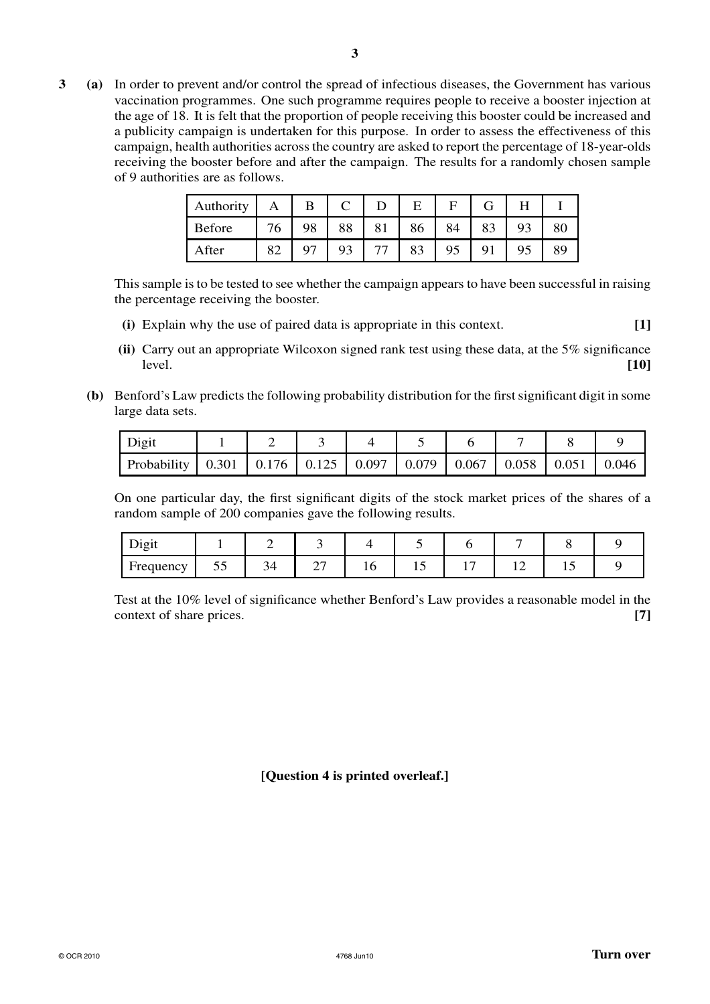**3 (a)** In order to prevent and/or control the spread of infectious diseases, the Government has various vaccination programmes. One such programme requires people to receive a booster injection at the age of 18. It is felt that the proportion of people receiving this booster could be increased and a publicity campaign is undertaken for this purpose. In order to assess the effectiveness of this campaign, health authorities across the country are asked to report the percentage of 18-year-olds receiving the booster before and after the campaign. The results for a randomly chosen sample of 9 authorities are as follows.

| Authority | Α  | B  |                |    | Е  | F  |    |    |
|-----------|----|----|----------------|----|----|----|----|----|
| Before    | 76 | 98 | 88             | 81 | 86 | 84 | 83 | 80 |
| After     | 82 |    | Q <sub>3</sub> | 77 |    |    | Q1 | 89 |

This sample is to be tested to see whether the campaign appears to have been successful in raising the percentage receiving the booster.

- **(i)** Explain why the use of paired data is appropriate in this context. **[1]**
- **(ii)** Carry out an appropriate Wilcoxon signed rank test using these data, at the 5% significance level. **[10]**
- **(b)** Benford's Law predicts the following probability distribution for the first significant digit in some large data sets.

| Digit                                                                                                 |  |  |  |  |  |
|-------------------------------------------------------------------------------------------------------|--|--|--|--|--|
| Probability   $0.301$   $0.176$   $0.125$   $0.097$   $0.079$   $0.067$   $0.058$   $0.051$   $0.046$ |  |  |  |  |  |

On one particular day, the first significant digits of the stock market prices of the shares of a random sample of 200 companies gave the following results.

| $\mathbf{r}$ .<br><b>Digit</b> |    |    |                          |    |   |  |  |
|--------------------------------|----|----|--------------------------|----|---|--|--|
| Frequency                      | JJ | 34 | $\overline{\phantom{0}}$ | *∿ | ∸ |  |  |

Test at the 10% level of significance whether Benford's Law provides a reasonable model in the context of share prices. **[7]** 

**[Question 4 is printed overleaf.]**